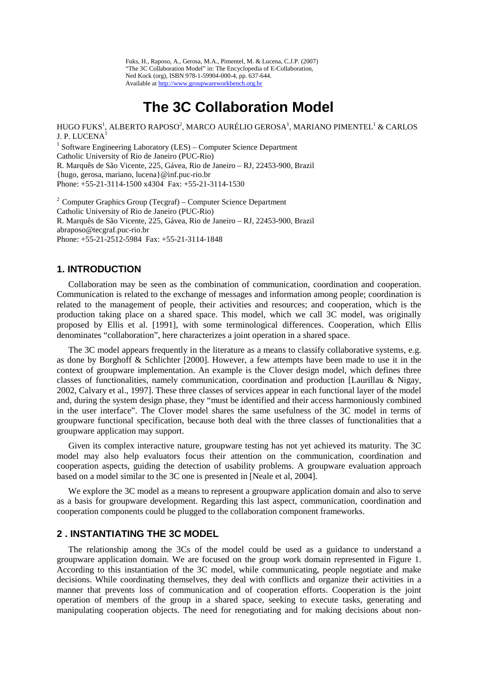Fuks, H., Raposo, A., Gerosa, M.A., Pimentel, M. & Lucena, C.J.P. (2007) "The 3C Collaboration Model" in: The Encyclopedia of E-Collaboration, Ned Kock (org), ISBN 978-1-59904-000-4, pp. 637-644. Available at [http://www.groupwareworkbench.org.br](http://www.groupwareworkbench.org.br/)

# **The 3C Collaboration Model**

HUGO FUKS $^{\rm l}$ , ALBERTO RAPOSO $^{\rm 2}$ , MARCO AURÉLIO GEROSA $^{\rm l}$ , MARIANO PIMENTEL $^{\rm l}$  & CARLOS J. P. LUCENA1

 $1$  Software Engineering Laboratory (LES) – Computer Science Department Catholic University of Rio de Janeiro (PUC-Rio) R. Marquês de São Vicente, 225, Gávea, Rio de Janeiro – RJ, 22453-900, Brazil {hugo, gerosa, mariano, lucena}@inf.puc-rio.br Phone: +55-21-3114-1500 x4304 Fax: +55-21-3114-1530

2 Computer Graphics Group (Tecgraf) – Computer Science Department Catholic University of Rio de Janeiro (PUC-Rio) R. Marquês de São Vicente, 225, Gávea, Rio de Janeiro – RJ, 22453-900, Brazil abraposo@tecgraf.puc-rio.br Phone: +55-21-2512-5984 Fax: +55-21-3114-1848

# **1. INTRODUCTION**

Collaboration may be seen as the combination of communication, coordination and cooperation. Communication is related to the exchange of messages and information among people; coordination is related to the management of people, their activities and resources; and cooperation, which is the production taking place on a shared space. This model, which we call 3C model, was originally proposed by Ellis et al. [1991], with some terminological differences. Cooperation, which Ellis denominates "collaboration", here characterizes a joint operation in a shared space.

The 3C model appears frequently in the literature as a means to classify collaborative systems, e.g. as done by Borghoff & Schlichter [2000]. However, a few attempts have been made to use it in the context of groupware implementation. An example is the Clover design model, which defines three classes of functionalities, namely communication, coordination and production [Laurillau & Nigay, 2002, Calvary et al., 1997]. These three classes of services appear in each functional layer of the model and, during the system design phase, they "must be identified and their access harmoniously combined in the user interface". The Clover model shares the same usefulness of the 3C model in terms of groupware functional specification, because both deal with the three classes of functionalities that a groupware application may support.

Given its complex interactive nature, groupware testing has not yet achieved its maturity. The 3C model may also help evaluators focus their attention on the communication, coordination and cooperation aspects, guiding the detection of usability problems. A groupware evaluation approach based on a model similar to the 3C one is presented in [Neale et al, 2004].

We explore the 3C model as a means to represent a groupware application domain and also to serve as a basis for groupware development. Regarding this last aspect, communication, coordination and cooperation components could be plugged to the collaboration component frameworks.

# **2 . INSTANTIATING THE 3C MODEL**

The relationship among the 3Cs of the model could be used as a guidance to understand a groupware application domain. We are focused on the group work domain represented in Figure 1. According to this instantiation of the 3C model, while communicating, people negotiate and make decisions. While coordinating themselves, they deal with conflicts and organize their activities in a manner that prevents loss of communication and of cooperation efforts. Cooperation is the joint operation of members of the group in a shared space, seeking to execute tasks, generating and manipulating cooperation objects. The need for renegotiating and for making decisions about non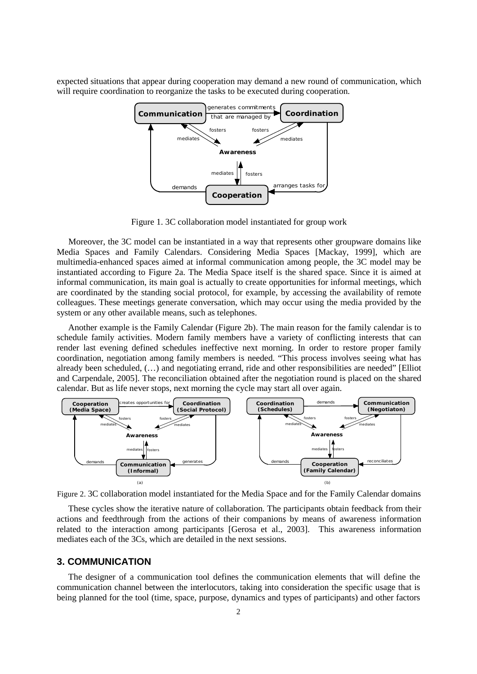expected situations that appear during cooperation may demand a new round of communication, which will require coordination to reorganize the tasks to be executed during cooperation.



Figure 1. 3C collaboration model instantiated for group work

Moreover, the 3C model can be instantiated in a way that represents other groupware domains like Media Spaces and Family Calendars. Considering Media Spaces [Mackay, 1999], which are multimedia-enhanced spaces aimed at informal communication among people, the 3C model may be instantiated according to Figure 2a. The Media Space itself is the shared space. Since it is aimed at informal communication, its main goal is actually to create opportunities for informal meetings, which are coordinated by the standing social protocol, for example, by accessing the availability of remote colleagues. These meetings generate conversation, which may occur using the media provided by the system or any other available means, such as telephones.

Another example is the Family Calendar (Figure 2b). The main reason for the family calendar is to schedule family activities. Modern family members have a variety of conflicting interests that can render last evening defined schedules ineffective next morning. In order to restore proper family coordination, negotiation among family members is needed. "This process involves seeing what has already been scheduled, (…) and negotiating errand, ride and other responsibilities are needed" [Elliot and Carpendale, 2005]. The reconciliation obtained after the negotiation round is placed on the shared calendar. But as life never stops, next morning the cycle may start all over again.



Figure 2. 3C collaboration model instantiated for the Media Space and for the Family Calendar domains

These cycles show the iterative nature of collaboration. The participants obtain feedback from their actions and feedthrough from the actions of their companions by means of awareness information related to the interaction among participants [Gerosa et al., 2003]. This awareness information mediates each of the 3Cs, which are detailed in the next sessions.

### **3. COMMUNICATION**

The designer of a communication tool defines the communication elements that will define the communication channel between the interlocutors, taking into consideration the specific usage that is being planned for the tool (time, space, purpose, dynamics and types of participants) and other factors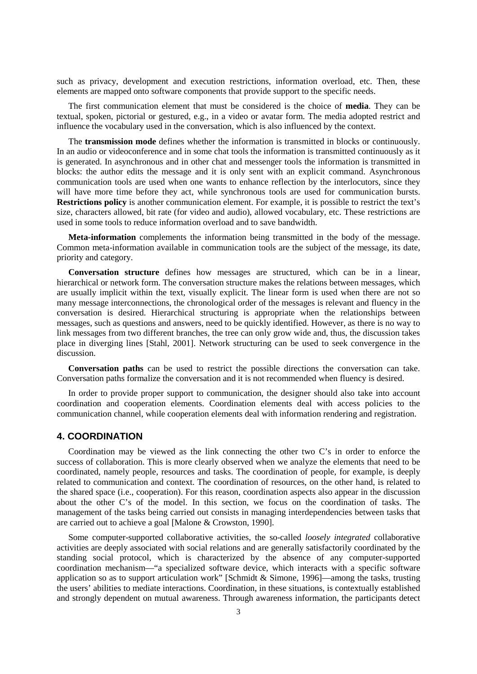such as privacy, development and execution restrictions, information overload, etc. Then, these elements are mapped onto software components that provide support to the specific needs.

The first communication element that must be considered is the choice of **media**. They can be textual, spoken, pictorial or gestured, e.g., in a video or avatar form. The media adopted restrict and influence the vocabulary used in the conversation, which is also influenced by the context.

The **transmission mode** defines whether the information is transmitted in blocks or continuously. In an audio or videoconference and in some chat tools the information is transmitted continuously as it is generated. In asynchronous and in other chat and messenger tools the information is transmitted in blocks: the author edits the message and it is only sent with an explicit command. Asynchronous communication tools are used when one wants to enhance reflection by the interlocutors, since they will have more time before they act, while synchronous tools are used for communication bursts. **Restrictions policy** is another communication element. For example, it is possible to restrict the text's size, characters allowed, bit rate (for video and audio), allowed vocabulary, etc. These restrictions are used in some tools to reduce information overload and to save bandwidth.

**Meta-information** complements the information being transmitted in the body of the message. Common meta-information available in communication tools are the subject of the message, its date, priority and category.

**Conversation structure** defines how messages are structured, which can be in a linear, hierarchical or network form. The conversation structure makes the relations between messages, which are usually implicit within the text, visually explicit. The linear form is used when there are not so many message interconnections, the chronological order of the messages is relevant and fluency in the conversation is desired. Hierarchical structuring is appropriate when the relationships between messages, such as questions and answers, need to be quickly identified. However, as there is no way to link messages from two different branches, the tree can only grow wide and, thus, the discussion takes place in diverging lines [Stahl, 2001]. Network structuring can be used to seek convergence in the discussion.

**Conversation paths** can be used to restrict the possible directions the conversation can take. Conversation paths formalize the conversation and it is not recommended when fluency is desired.

In order to provide proper support to communication, the designer should also take into account coordination and cooperation elements. Coordination elements deal with access policies to the communication channel, while cooperation elements deal with information rendering and registration.

### **4. COORDINATION**

Coordination may be viewed as the link connecting the other two C's in order to enforce the success of collaboration. This is more clearly observed when we analyze the elements that need to be coordinated, namely people, resources and tasks. The coordination of people, for example, is deeply related to communication and context. The coordination of resources, on the other hand, is related to the shared space (i.e., cooperation). For this reason, coordination aspects also appear in the discussion about the other C's of the model. In this section, we focus on the coordination of tasks. The management of the tasks being carried out consists in managing interdependencies between tasks that are carried out to achieve a goal [Malone & Crowston, 1990].

Some computer-supported collaborative activities, the so-called *loosely integrated* collaborative activities are deeply associated with social relations and are generally satisfactorily coordinated by the standing social protocol, which is characterized by the absence of any computer-supported coordination mechanism—"a specialized software device, which interacts with a specific software application so as to support articulation work" [Schmidt & Simone, 1996]—among the tasks, trusting the users' abilities to mediate interactions. Coordination, in these situations, is contextually established and strongly dependent on mutual awareness. Through awareness information, the participants detect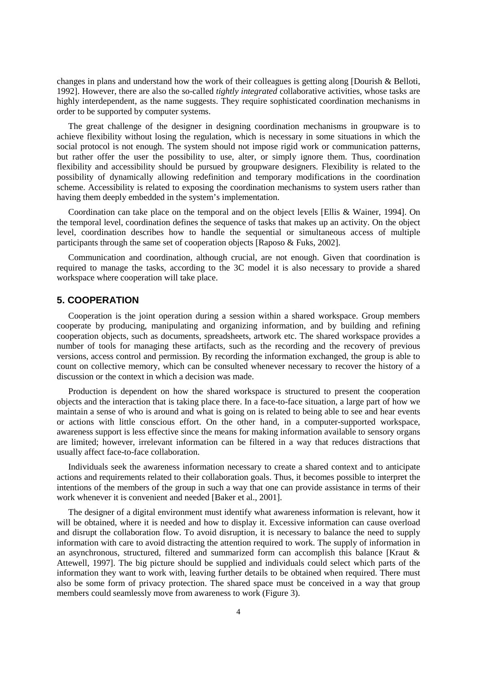changes in plans and understand how the work of their colleagues is getting along [Dourish & Belloti, 1992]. However, there are also the so-called *tightly integrated* collaborative activities, whose tasks are highly interdependent, as the name suggests. They require sophisticated coordination mechanisms in order to be supported by computer systems.

The great challenge of the designer in designing coordination mechanisms in groupware is to achieve flexibility without losing the regulation, which is necessary in some situations in which the social protocol is not enough. The system should not impose rigid work or communication patterns, but rather offer the user the possibility to use, alter, or simply ignore them. Thus, coordination flexibility and accessibility should be pursued by groupware designers. Flexibility is related to the possibility of dynamically allowing redefinition and temporary modifications in the coordination scheme. Accessibility is related to exposing the coordination mechanisms to system users rather than having them deeply embedded in the system's implementation.

Coordination can take place on the temporal and on the object levels [Ellis & Wainer, 1994]. On the temporal level, coordination defines the sequence of tasks that makes up an activity. On the object level, coordination describes how to handle the sequential or simultaneous access of multiple participants through the same set of cooperation objects [Raposo & Fuks, 2002].

Communication and coordination, although crucial, are not enough. Given that coordination is required to manage the tasks, according to the 3C model it is also necessary to provide a shared workspace where cooperation will take place.

### **5. COOPERATION**

Cooperation is the joint operation during a session within a shared workspace. Group members cooperate by producing, manipulating and organizing information, and by building and refining cooperation objects, such as documents, spreadsheets, artwork etc. The shared workspace provides a number of tools for managing these artifacts, such as the recording and the recovery of previous versions, access control and permission. By recording the information exchanged, the group is able to count on collective memory, which can be consulted whenever necessary to recover the history of a discussion or the context in which a decision was made.

Production is dependent on how the shared workspace is structured to present the cooperation objects and the interaction that is taking place there. In a face-to-face situation, a large part of how we maintain a sense of who is around and what is going on is related to being able to see and hear events or actions with little conscious effort. On the other hand, in a computer-supported workspace, awareness support is less effective since the means for making information available to sensory organs are limited; however, irrelevant information can be filtered in a way that reduces distractions that usually affect face-to-face collaboration.

Individuals seek the awareness information necessary to create a shared context and to anticipate actions and requirements related to their collaboration goals. Thus, it becomes possible to interpret the intentions of the members of the group in such a way that one can provide assistance in terms of their work whenever it is convenient and needed [Baker et al., 2001].

The designer of a digital environment must identify what awareness information is relevant, how it will be obtained, where it is needed and how to display it. Excessive information can cause overload and disrupt the collaboration flow. To avoid disruption, it is necessary to balance the need to supply information with care to avoid distracting the attention required to work. The supply of information in an asynchronous, structured, filtered and summarized form can accomplish this balance [Kraut  $\&$ Attewell, 1997]. The big picture should be supplied and individuals could select which parts of the information they want to work with, leaving further details to be obtained when required. There must also be some form of privacy protection. The shared space must be conceived in a way that group members could seamlessly move from awareness to work (Figure 3).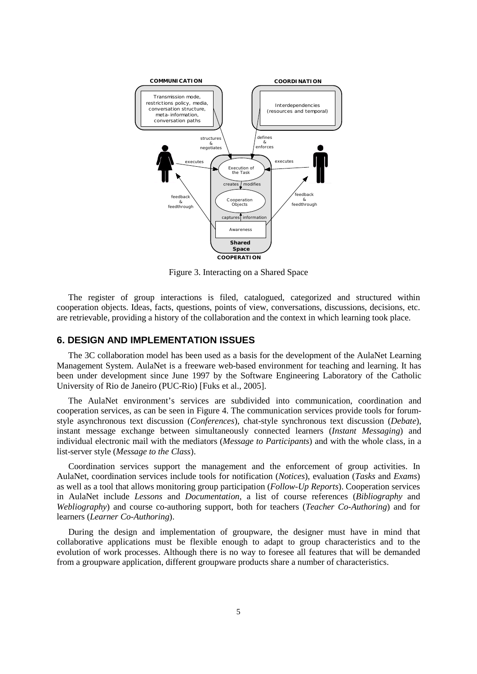

Figure 3. Interacting on a Shared Space

The register of group interactions is filed, catalogued, categorized and structured within cooperation objects. Ideas, facts, questions, points of view, conversations, discussions, decisions, etc. are retrievable, providing a history of the collaboration and the context in which learning took place.

# **6. DESIGN AND IMPLEMENTATION ISSUES**

The 3C collaboration model has been used as a basis for the development of the AulaNet Learning Management System. AulaNet is a freeware web-based environment for teaching and learning. It has been under development since June 1997 by the Software Engineering Laboratory of the Catholic University of Rio de Janeiro (PUC-Rio) [Fuks et al., 2005].

The AulaNet environment's services are subdivided into communication, coordination and cooperation services, as can be seen in [Figure 4](#page-5-0). The communication services provide tools for forumstyle asynchronous text discussion (*Conferences*), chat-style synchronous text discussion (*Debate*), instant message exchange between simultaneously connected learners (*Instant Messaging*) and individual electronic mail with the mediators (*Message to Participants*) and with the whole class, in a list-server style (*Message to the Class*).

Coordination services support the management and the enforcement of group activities. In AulaNet, coordination services include tools for notification (*Notices*), evaluation (*Tasks* and *Exams*) as well as a tool that allows monitoring group participation (*Follow-Up Reports*). Cooperation services in AulaNet include *Lessons* and *Documentation*, a list of course references (*Bibliography* and *Webliography*) and course co-authoring support, both for teachers (*Teacher Co-Authoring*) and for learners (*Learner Co-Authoring*).

During the design and implementation of groupware, the designer must have in mind that collaborative applications must be flexible enough to adapt to group characteristics and to the evolution of work processes. Although there is no way to foresee all features that will be demanded from a groupware application, different groupware products share a number of characteristics.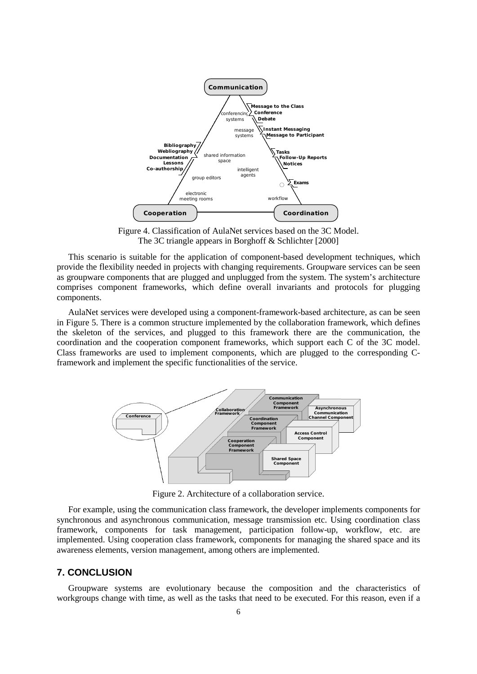

Figure 4. Classification of AulaNet services based on the 3C Model. The 3C triangle appears in Borghoff & Schlichter [2000]

<span id="page-5-0"></span>This scenario is suitable for the application of component-based development techniques, which provide the flexibility needed in projects with changing requirements. Groupware services can be seen as groupware components that are plugged and unplugged from the system. The system's architecture comprises component frameworks, which define overall invariants and protocols for plugging components.

AulaNet services were developed using a component-framework-based architecture, as can be seen in Figure 5. There is a common structure implemented by the collaboration framework, which defines the skeleton of the services, and plugged to this framework there are the communication, the coordination and the cooperation component frameworks, which support each C of the 3C model. Class frameworks are used to implement components, which are plugged to the corresponding Cframework and implement the specific functionalities of the service.



Figure 2. Architecture of a collaboration service.

For example, using the communication class framework, the developer implements components for synchronous and asynchronous communication, message transmission etc. Using coordination class framework, components for task management, participation follow-up, workflow, etc. are implemented. Using cooperation class framework, components for managing the shared space and its awareness elements, version management, among others are implemented.

### **7. CONCLUSION**

Groupware systems are evolutionary because the composition and the characteristics of workgroups change with time, as well as the tasks that need to be executed. For this reason, even if a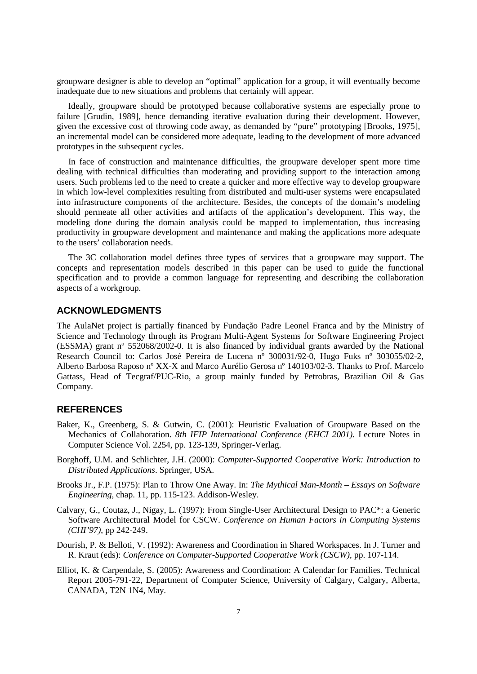groupware designer is able to develop an "optimal" application for a group, it will eventually become inadequate due to new situations and problems that certainly will appear.

Ideally, groupware should be prototyped because collaborative systems are especially prone to failure [Grudin, 1989], hence demanding iterative evaluation during their development. However, given the excessive cost of throwing code away, as demanded by "pure" prototyping [Brooks, 1975], an incremental model can be considered more adequate, leading to the development of more advanced prototypes in the subsequent cycles.

In face of construction and maintenance difficulties, the groupware developer spent more time dealing with technical difficulties than moderating and providing support to the interaction among users. Such problems led to the need to create a quicker and more effective way to develop groupware in which low-level complexities resulting from distributed and multi-user systems were encapsulated into infrastructure components of the architecture. Besides, the concepts of the domain's modeling should permeate all other activities and artifacts of the application's development. This way, the modeling done during the domain analysis could be mapped to implementation, thus increasing productivity in groupware development and maintenance and making the applications more adequate to the users' collaboration needs.

The 3C collaboration model defines three types of services that a groupware may support. The concepts and representation models described in this paper can be used to guide the functional specification and to provide a common language for representing and describing the collaboration aspects of a workgroup.

## **ACKNOWLEDGMENTS**

The AulaNet project is partially financed by Fundação Padre Leonel Franca and by the Ministry of Science and Technology through its Program Multi-Agent Systems for Software Engineering Project (ESSMA) grant nº 552068/2002-0. It is also financed by individual grants awarded by the National Research Council to: Carlos José Pereira de Lucena nº 300031/92-0, Hugo Fuks nº 303055/02-2, Alberto Barbosa Raposo nº XX-X and Marco Aurélio Gerosa nº 140103/02-3. Thanks to Prof. Marcelo Gattass, Head of Tecgraf/PUC-Rio, a group mainly funded by Petrobras, Brazilian Oil & Gas Company.

# **REFERENCES**

- Baker, K., Greenberg, S. & Gutwin, C. (2001): Heuristic Evaluation of Groupware Based on the Mechanics of Collaboration. *8th IFIP International Conference (EHCI 2001).* Lecture Notes in Computer Science Vol. 2254, pp. 123-139, Springer-Verlag.
- Borghoff, U.M. and Schlichter, J.H. (2000): *Computer-Supported Cooperative Work: Introduction to Distributed Applications*. Springer, USA.
- Brooks Jr., F.P. (1975): Plan to Throw One Away. In: *The Mythical Man-Month – Essays on Software Engineering*, chap. 11, pp. 115-123. Addison-Wesley.
- Calvary, G., Coutaz, J., Nigay, L. (1997): From Single-User Architectural Design to PAC\*: a Generic Software Architectural Model for CSCW. *Conference on Human Factors in Computing Systems (CHI'97)*, pp 242-249.
- Dourish, P. & Belloti, V. (1992): Awareness and Coordination in Shared Workspaces. In J. Turner and R. Kraut (eds): *Conference on Computer-Supported Cooperative Work (CSCW)*, pp. 107-114.
- Elliot, K. & Carpendale, S. (2005): Awareness and Coordination: A Calendar for Families. Technical Report 2005-791-22, Department of Computer Science, University of Calgary, Calgary, Alberta, CANADA, T2N 1N4, May.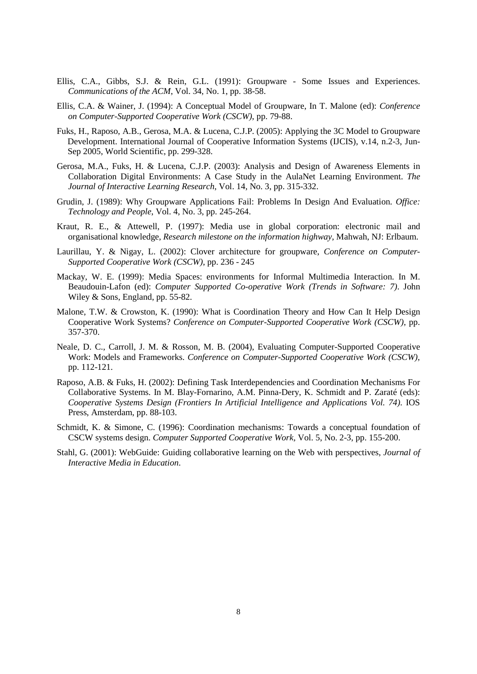- Ellis, C.A., Gibbs, S.J. & Rein, G.L. (1991): Groupware Some Issues and Experiences. *Communications of the ACM*, Vol. 34, No. 1, pp. 38-58.
- Ellis, C.A. & Wainer, J. (1994): A Conceptual Model of Groupware, In T. Malone (ed): *Conference on Computer-Supported Cooperative Work (CSCW)*, pp. 79-88.
- Fuks, H., Raposo, A.B., Gerosa, M.A. & Lucena, C.J.P. (2005): Applying the 3C Model to Groupware Development. International Journal of Cooperative Information Systems (IJCIS), v.14, n.2-3, Jun-Sep 2005, World Scientific, pp. 299-328.
- Gerosa, M.A., Fuks, H. & Lucena, C.J.P. (2003): Analysis and Design of Awareness Elements in Collaboration Digital Environments: A Case Study in the AulaNet Learning Environment. *The Journal of Interactive Learning Research*, Vol. 14, No. 3, pp. 315-332.
- Grudin, J. (1989): Why Groupware Applications Fail: Problems In Design And Evaluation. *Office: Technology and People*, Vol. 4, No. 3, pp. 245-264.
- Kraut, R. E., & Attewell, P. (1997): Media use in global corporation: electronic mail and organisational knowledge, *Research milestone on the information highway*, Mahwah, NJ: Erlbaum.
- Laurillau, Y. & Nigay, L. (2002): Clover architecture for groupware, *Conference on Computer-Supported Cooperative Work (CSCW)*, pp. 236 - 245
- Mackay, W. E. (1999): Media Spaces: environments for Informal Multimedia Interaction. In M. Beaudouin-Lafon (ed): *Computer Supported Co-operative Work (Trends in Software: 7)*. John Wiley & Sons, England, pp. 55-82.
- Malone, T.W. & Crowston, K. (1990): What is Coordination Theory and How Can It Help Design Cooperative Work Systems? *Conference on Computer-Supported Cooperative Work (CSCW)*, pp. 357-370.
- Neale, D. C., Carroll, J. M. & Rosson, M. B. (2004), Evaluating Computer-Supported Cooperative Work: Models and Frameworks. *Conference on Computer-Supported Cooperative Work (CSCW)*, pp. 112-121.
- Raposo, A.B. & Fuks, H. (2002): Defining Task Interdependencies and Coordination Mechanisms For Collaborative Systems. In M. Blay-Fornarino, A.M. Pinna-Dery, K. Schmidt and P. Zaraté (eds): *Cooperative Systems Design (Frontiers In Artificial Intelligence and Applications Vol. 74)*. IOS Press, Amsterdam, pp. 88-103.
- Schmidt, K. & Simone, C. (1996): Coordination mechanisms: Towards a conceptual foundation of CSCW systems design. *Computer Supported Cooperative Work,* Vol. 5, No. 2-3, pp. 155-200.
- Stahl, G. (2001): WebGuide: Guiding collaborative learning on the Web with perspectives, *Journal of Interactive Media in Education*.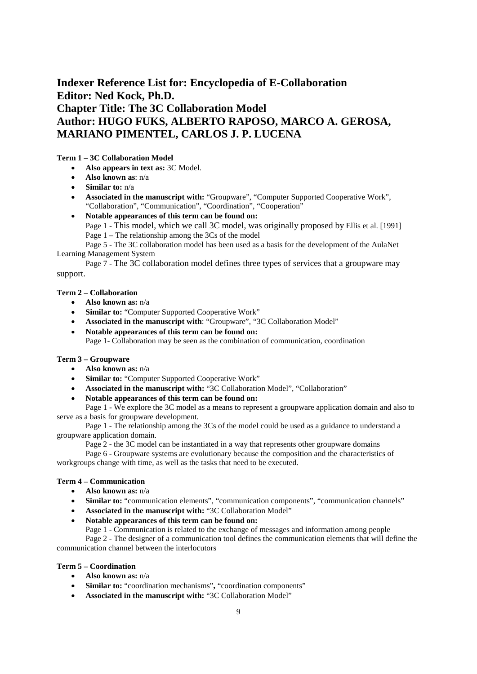# **Indexer Reference List for: Encyclopedia of E-Collaboration Editor: Ned Kock, Ph.D. Chapter Title: The 3C Collaboration Model Author: HUGO FUKS, ALBERTO RAPOSO, MARCO A. GEROSA, MARIANO PIMENTEL, CARLOS J. P. LUCENA**

### **Term 1 – 3C Collaboration Model**

- **Also appears in text as:** 3C Model*.*
- **Also known as**: n/a
- **Similar to:** n/a
- **Associated in the manuscript with:** "Groupware", "Computer Supported Cooperative Work", "Collaboration", "Communication", "Coordination", "Cooperation"
- **Notable appearances of this term can be found on:**
	- Page 1 This model, which we call 3C model, was originally proposed by Ellis et al. [1991] Page 1 – The relationship among the 3Cs of the model

Page 5 - The 3C collaboration model has been used as a basis for the development of the AulaNet Learning Management System

Page 7 - The 3C collaboration model defines three types of services that a groupware may support.

### **Term 2 – Collaboration**

- **Also known as:** n/a
- **Similar to:** "Computer Supported Cooperative Work"
- **Associated in the manuscript with**: "Groupware", "3C Collaboration Model"
- **Notable appearances of this term can be found on:** Page 1- Collaboration may be seen as the combination of communication, coordination

### **Term 3 – Groupware**

- **Also known as:** n/a
- **Similar to:** "Computer Supported Cooperative Work"
- **Associated in the manuscript with:** "3C Collaboration Model", "Collaboration"
- **Notable appearances of this term can be found on:**

Page 1 - We explore the 3C model as a means to represent a groupware application domain and also to serve as a basis for groupware development.

Page 1 - The relationship among the 3Cs of the model could be used as a guidance to understand a groupware application domain.

Page 2 - the 3C model can be instantiated in a way that represents other groupware domains

Page 6 - Groupware systems are evolutionary because the composition and the characteristics of workgroups change with time, as well as the tasks that need to be executed.

### **Term 4 – Communication**

- **Also known as:** n/a
- **Similar to:** "communication elements", "communication components", "communication channels"
- **Associated in the manuscript with:** "3C Collaboration Model"
- **Notable appearances of this term can be found on:**

Page 1 - Communication is related to the exchange of messages and information among people

Page 2 - The designer of a communication tool defines the communication elements that will define the communication channel between the interlocutors

### **Term 5 – Coordination**

- **Also known as:** n/a
- **Similar to:** "coordination mechanisms"**,** "coordination components"
- **Associated in the manuscript with:** "3C Collaboration Model"